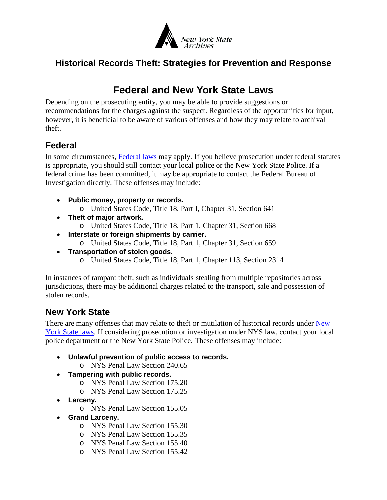

## **Historical Records Theft: Strategies for Prevention and Response**

## **Federal and New York State Laws**

Depending on the prosecuting entity, you may be able to provide suggestions or recommendations for the charges against the suspect. Regardless of the opportunities for input, however, it is beneficial to be aware of various offenses and how they may relate to archival theft.

## **Federal**

In some circumstances, [Federal laws](https://www.law.cornell.edu/uscode/text/18/part-I) may apply. If you believe prosecution under federal statutes is appropriate, you should still contact your local police or the New York State Police. If a federal crime has been committed, it may be appropriate to contact the Federal Bureau of Investigation directly. These offenses may include:

- **Public money, property or records.**
	- o United States Code, Title 18, Part I, Chapter 31, Section 641
- **Theft of major artwork.**
	- o United States Code, Title 18, Part 1, Chapter 31, Section 668
- **Interstate or foreign shipments by carrier.**
	- o United States Code, Title 18, Part 1, Chapter 31, Section 659
- **Transportation of stolen goods.**
	- o United States Code, Title 18, Part 1, Chapter 113, Section 2314

In instances of rampant theft, such as individuals stealing from multiple repositories across jurisdictions, there may be additional charges related to the transport, sale and possession of stolen records.

## **New York State**

There are many offenses that may relate to theft or mutilation of historical records under New [York State laws.](http://public.leginfo.state.ny.us/lawssrch.cgi?NVLWO:) If considering prosecution or investigation under NYS law, contact your local police department or the New York State Police. These offenses may include:

- **Unlawful prevention of public access to records.** 
	- o NYS Penal Law Section 240.65
- **Tampering with public records.**
	- o NYS Penal Law Section 175.20
	- o NYS Penal Law Section 175.25
- **Larceny.**
	- o NYS Penal Law Section 155.05
- **Grand Larceny.**
	- o NYS Penal Law Section 155.30
	- o NYS Penal Law Section 155.35
	- o NYS Penal Law Section 155.40
	- o NYS Penal Law Section 155.42